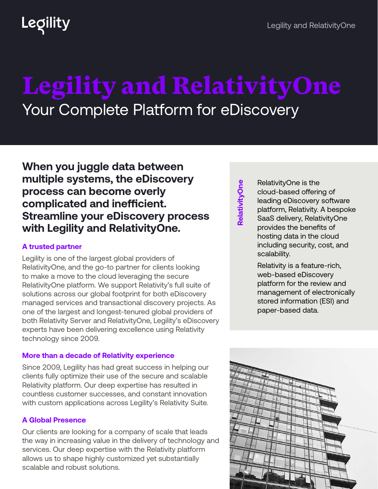## Legility

# Legility and RelativityOne Your Complete Platform for eDiscovery

### **When you juggle data between multiple systems, the eDiscovery process can become overly complicated and inefficient. Streamline your eDiscovery process with Legility and RelativityOne.**

#### **A trusted partner**

Legility is one of the largest global providers of RelativityOne, and the go-to partner for clients looking to make a move to the cloud leveraging the secure RelativityOne platform. We support Relativity's full suite of solutions across our global footprint for both eDiscovery managed services and transactional discovery projects. As one of the largest and longest-tenured global providers of both Relativity Server and RelativityOne, Legility's eDiscovery experts have been delivering excellence using Relativity technology since 2009.

#### **More than a decade of Relativity experience**

Since 2009, Legility has had great success in helping our clients fully optimize their use of the secure and scalable Relativity platform. Our deep expertise has resulted in countless customer successes, and constant innovation with custom applications across Legility's Relativity Suite.

#### **A Global Presence**

Our clients are looking for a company of scale that leads the way in increasing value in the delivery of technology and services. Our deep expertise with the Relativity platform allows us to shape highly customized yet substantially scalable and robust solutions.

RelativityOne **RelativityOne** RelativityOne is the cloud-based offering of leading eDiscovery software platform, Relativity. A bespoke SaaS delivery, RelativityOne provides the benefits of hosting data in the cloud including security, cost, and scalability.

Relativity is a feature-rich, web-based eDiscovery platform for the review and management of electronically stored information (ESI) and paper-based data.